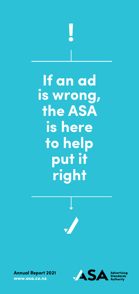

# **If an ad is wrong, the ASA is here to help put it right**





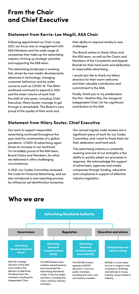# **From the Chair and Chief Executive**

#### **Statement from Kerrie-Lee Magill, ASA Chair**

Following appointment as Chair in July 2021, our focus was on engagement with ASA Members and the wide range of companies that make up the advertising industry, firming up strategic priorities and supporting the ASA team.

The advertising landscape is evolving fast, driven by new media developments, advances in technology, changing consumer behaviour and by wider concerns such as COVID-19. The ASA's workload continued to expand in 2021, and the sheer volume of work that the staff of only seven, including Chief Executive, Hilary Souter, manage to get through is remarkable. The Board is very proud of the quality of their work and

their ability to respond nimbly to new challenges.

The Board wishes to thank Hilary and the ASA team, as well as the Chairs and Members of the Complaints and Appeal Boards for their hard work and dedication to responsible advertising.

I would also like to thank my fellow directors for their warm welcome and their valuable contribution and commitment to the ASA.

Finally, thank you to my predecessor the Hon. Heather Roy, the inaugural independent Chair, for her significant contribution to the ASA.

### **Statement from Hilary Souter, Chief Executive**

Our work to support responsible advertising continued throughout the year and the uncertainties of a global pandemic. COVID-19 advertising again drove an increase in our workload. I'm incredibly proud of the ASA team, Board Chairs and Members, for what we delivered in often challenging circumstances.

In 2021, our Codes Committee reviewed the Code for Financial Advertising, and we also introduced a new reporting process for influencer ad identification breaches.

Our annual regular code reviews are a significant piece of work for our Codes Committee, and I want to thank them for their dedication and hard work.

The advertising industry is constantly evolving and one of our strengths is the ability to quickly adapt our processes in response. We acknowledge the support of advertisers, agencies and media companies through funding, education and compliance in support of effective industry regulation.



## **Who we are**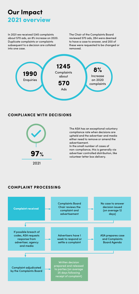# **Our Impact 2021 overview**

In 2021 we received 1245 complaints about 570 ads, an 8% increase on 2020. Duplicate complaints or complaints subsequent to a decision are collated into one case.

The Chair of the Complaints Board reviewed 570 ads, 284 were deemed to have a case to answer, and 200 of these were requested to be changed or removed.



#### **COMPLIANCE WITH DECISIONS**



The ASA has an exceptional voluntary compliance rate when decisions are upheld and the advertiser and media either need to remove or amend the advertisement.

In the small number of cases of non-compliance, this is generally via advertiser controlled distribution, like volunteer letter box delivery.

#### **COMPLAINT PROCESSING**

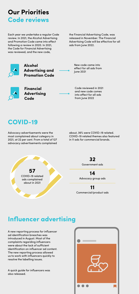# **Our Priorities Code reviews**

Each year we undertake a regular Code review. In 2021, the Alcohol Advertising and Promotion Code came into effect following a review in 2020. In 2021, the Code for Financial Advertising was reviewed, and the new code,

the Financial Advertising Code, was released in November. The Financial Advertising Code will be effective for all ads from June 2022.



**Alcohol Advertising and Promotion Code** 



**Financial Advertising Code**

New code came into effect for all ads from June 2021

Code reviewed in 2021 and new code comes into effect for all ads from June 2022

## **COVID-19**

Advocacy advertisements were the most complained about category in 2021, at 22 per cent. From a total of 127 advocacy advertisements complained about, 36% were COVID-19 related. COVID-19 related themes also featured in 11 ads for commercial brands.

**57**  COVID-19 related ads complained about in 2021

**32**  Government ads

**14**  Advocacy group ads

**11**  Commercial/product ads

# **Influencer advertising**

A new reporting process for influencer ad identification breaches was introduced in August. Most of the complaints regarding influencers were about the lack of sufficient identification on influencer ad content. The new reporting process allowed us to work with influencers quickly to resolve the labelling issues.

A quick guide for influencers was also released.

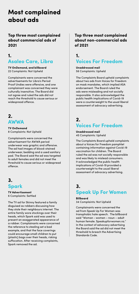# **Most complained about ads**

**Top three most complained about commercial ads of 2021**

## **1. Asaleo Care, Libra**

**TV OnDemand, and billboard**  22 Complaints: Not Upheld

Complainants were concerned the advertisements for Libra's Period Proof Undies were offensive, and one complainant was concerned they were culturally insensitive. The Board did not agree and ruled the ads did not reach the threshold to cause serious or widespread offence.



**TV OnDemand** 8 Complaints: Not Upheld

Complainants were concerned the advertisement for AWWA period underwear was graphic and offensive. The ad had images of blood-stained underwear, bedding and a used sanitary pad. The Board said the ad was targeted to adult females and did not meet the threshold to cause serious or widespread offence.

## **3. Spark**

**TV Advertisement** 6 Complaints: Settled

The TV ad for Skinny featured a family disguised as robbers discussing how they stole their neighbours internet. The entire family wore stockings over their heads, which Spark said was used to present an exaggerated appearance of a robber. Complainants were concerned the reference to stealing set a bad example, and that the face coverings could encourage small children to put (plastic) bags over their heads, risking suffocation. After receiving complaints, Spark removed the ad.

**Top three most complained about non-commercial ads of 2021**

## **1. Voices For Freedom**

**Unaddressed mail**  56 Complaints: Upheld

The Complaints Board upheld complaints about two ads from Voices for Freedom on mask mandates, which implied ASA endorsement. The Board ruled the ads were misleading and not socially responsible. It also acknowledged the public health implications of Covid-19 were a counterweight to the usual liberal assessment of advocacy advertising.

## **2. Voices For Freedom**

**Unaddressed mail** 45 Complaints: Upheld

The Complaints Board upheld complaints about a Voices for Freedom pamphlet containing information against Covid-19 vaccination for children. The Board ruled the ad was not socially responsible and was likely to mislead consumers. It acknowledged the public health implications of Covid-19 provided a counterweight to the usual liberal assessment of advocacy advertising.

## **3.**

## **Speak Up For Women**

**Billboard**

34 Complaints: Not Upheld

Complainants were concerned the ad from Speak Up For Women was transphobic hate speech. The billboard said "Woman - women – noun – adult human female. Speakupforwomen.nz." In the context of advocacy advertising the Board said the ad did not meet the threshold to breach the Advertising Standards Code.